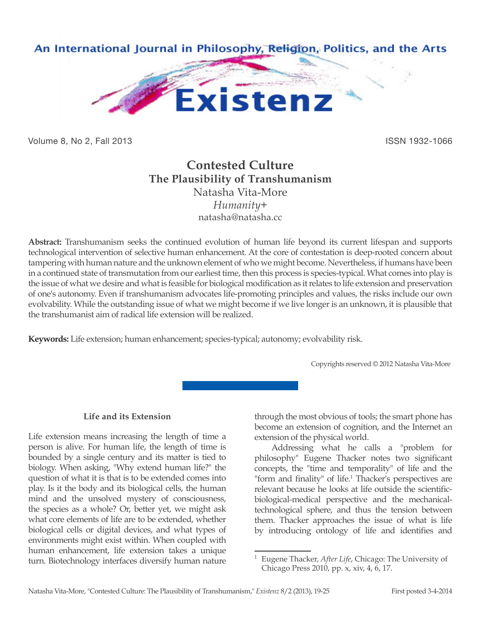

Volume 8, No 2, Fall 2013 **ISSN 1932-1066** 

# **Contested Culture The Plausibility of Transhumanism** Natasha Vita-More *Humanity+* natasha@natasha.cc

**Abstract:** Transhumanism seeks the continued evolution of human life beyond its current lifespan and supports technological intervention of selective human enhancement. At the core of contestation is deep-rooted concern about tampering with human nature and the unknown element of who we might become. Nevertheless, if humans have been in a continued state of transmutation from our earliest time, then this process is species-typical. What comes into play is the issue of what we desire and what is feasible for biological modification as it relates to life extension and preservation of one's autonomy. Even if transhumanism advocates life-promoting principles and values, the risks include our own evolvability. While the outstanding issue of what we might become if we live longer is an unknown, it is plausible that the transhumanist aim of radical life extension will be realized.

**Keywords:** Life extension; human enhancement; species-typical; autonomy; evolvability risk.

Copyrights reserved © 2012 Natasha Vita-More

## **Life and its Extension**

Life extension means increasing the length of time a person is alive. For human life, the length of time is bounded by a single century and its matter is tied to biology. When asking, "Why extend human life?" the question of what it is that is to be extended comes into play. Is it the body and its biological cells, the human mind and the unsolved mystery of consciousness, the species as a whole? Or, better yet, we might ask what core elements of life are to be extended, whether biological cells or digital devices, and what types of environments might exist within. When coupled with human enhancement, life extension takes a unique turn. Biotechnology interfaces diversify human nature

through the most obvious of tools; the smart phone has become an extension of cognition, and the Internet an extension of the physical world.

Addressing what he calls a "problem for philosophy" Eugene Thacker notes two significant concepts, the "time and temporality" of life and the "form and finality" of life.<sup>1</sup> Thacker's perspectives are relevant because he looks at life outside the scientificbiological-medical perspective and the mechanicaltechnological sphere, and thus the tension between them. Thacker approaches the issue of what is life by introducing ontology of life and identifies and

<sup>1</sup> Eugene Thacker, *After Life*, Chicago: The University of Chicago Press 2010, pp. x, xiv, 4, 6, 17.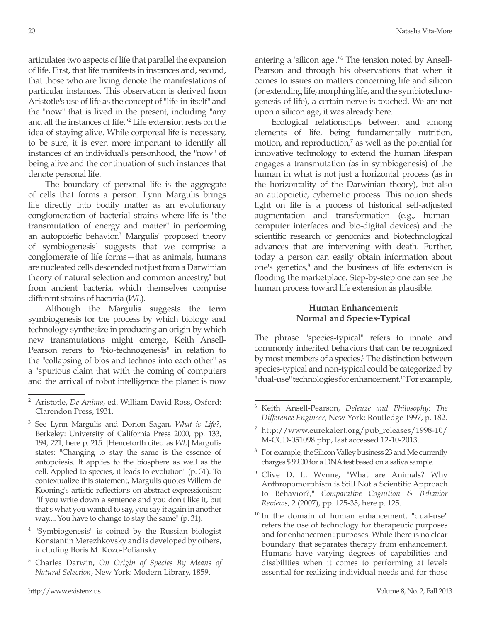articulates two aspects of life that parallel the expansion of life. First, that life manifests in instances and, second, that those who are living denote the manifestations of particular instances. This observation is derived from Aristotle's use of life as the concept of "life-in-itself" and the "now" that is lived in the present, including "any and all the instances of life."2 Life extension rests on the idea of staying alive. While corporeal life is necessary, to be sure, it is even more important to identify all instances of an individual's personhood, the "now" of being alive and the continuation of such instances that denote personal life.

The boundary of personal life is the aggregate of cells that forms a person. Lynn Margulis brings life directly into bodily matter as an evolutionary conglomeration of bacterial strains where life is "the transmutation of energy and matter" in performing an autopoietic behavior.<sup>3</sup> Margulis' proposed theory of symbiogenesis<sup>4</sup> suggests that we comprise a conglomerate of life forms—that as animals, humans are nucleated cells descended not just from a Darwinian theory of natural selection and common ancestry,<sup>5</sup> but from ancient bacteria, which themselves comprise different strains of bacteria (*WL*).

Although the Margulis suggests the term symbiogenesis for the process by which biology and technology synthesize in producing an origin by which new transmutations might emerge, Keith Ansell-Pearson refers to "bio-technogenesis" in relation to the "collapsing of bios and technos into each other" as a "spurious claim that with the coming of computers and the arrival of robot intelligence the planet is now

- <sup>4</sup> "Symbiogenesis" is coined by the Russian biologist Konstantin Merezhkovsky and is developed by others, including Boris M. Kozo-Poliansky.
- <sup>5</sup> Charles Darwin, *On Origin of Species By Means of Natural Selection*, New York: Modern Library, 1859.

entering a 'silicon age'."<sup>6</sup> The tension noted by Ansell-Pearson and through his observations that when it comes to issues on matters concerning life and silicon (or extending life, morphing life, and the symbiotechnogenesis of life), a certain nerve is touched. We are not upon a silicon age, it was already here.

Ecological relationships between and among elements of life, being fundamentally nutrition, motion, and reproduction,<sup>7</sup> as well as the potential for innovative technology to extend the human lifespan engages a transmutation (as in symbiogenesis) of the human in what is not just a horizontal process (as in the horizontality of the Darwinian theory), but also an autopoietic, cybernetic process. This notion sheds light on life is a process of historical self-adjusted augmentation and transformation (e.g., humancomputer interfaces and bio-digital devices) and the scientific research of genomics and biotechnological advances that are intervening with death. Further, today a person can easily obtain information about one's genetics, $\delta$  and the business of life extension is flooding the marketplace. Step-by-step one can see the human process toward life extension as plausible.

# **Human Enhancement: Normal and Species-Typical**

The phrase "species-typical" refers to innate and commonly inherited behaviors that can be recognized by most members of a species.<sup>9</sup> The distinction between species-typical and non-typical could be categorized by "dual-use" technologies for enhancement.<sup>10</sup> For example,

- <sup>9</sup> Clive D. L. Wynne, "What are Animals? Why Anthropomorphism is Still Not a Scientific Approach to Behavior?," *Comparative Cognition & Behavior Reviews*, 2 (2007), pp. 125-35, here p. 125.
- $10$  In the domain of human enhancement, "dual-use" refers the use of technology for therapeutic purposes and for enhancement purposes. While there is no clear boundary that separates therapy from enhancement. Humans have varying degrees of capabilities and disabilities when it comes to performing at levels essential for realizing individual needs and for those

<sup>2</sup> Aristotle, *De Anima*, ed. William David Ross, Oxford: Clarendon Press, 1931.

<sup>3</sup> See Lynn Margulis and Dorion Sagan, *What is Life?*, Berkeley: University of California Press 2000, pp. 133, 194, 221, here p. 215. [Henceforth cited as *WL*] Margulis states: "Changing to stay the same is the essence of autopoiesis. It applies to the biosphere as well as the cell. Applied to species, it leads to evolution" (p. 31). To contextualize this statement, Margulis quotes Willem de Kooning's artistic reflections on abstract expressionism: "If you write down a sentence and you don't like it, but that's what you wanted to say, you say it again in another way.... You have to change to stay the same" (p. 31).

<sup>6</sup> Keith Ansell-Pearson, *Deleuze and Philosophy: The Difference Engineer*, New York: Routledge 1997, p. 182.

<sup>7</sup> http://www.eurekalert.org/pub\_releases/1998-10/ M-CCD-051098.php, last accessed 12-10-2013.

<sup>&</sup>lt;sup>8</sup> For example, the Silicon Valley business 23 and Me currently charges \$ 99.00 for a DNA test based on a saliva sample.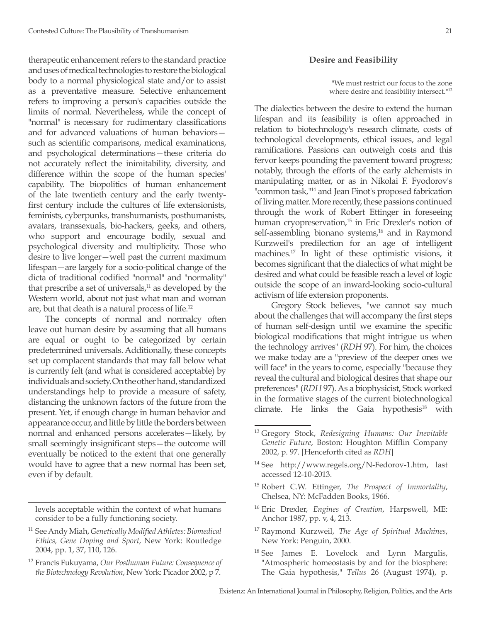therapeutic enhancement refers to the standard practice and uses of medical technologies to restore the biological body to a normal physiological state and/or to assist as a preventative measure. Selective enhancement refers to improving a person's capacities outside the limits of normal. Nevertheless, while the concept of "normal" is necessary for rudimentary classifications and for advanced valuations of human behaviors such as scientific comparisons, medical examinations, and psychological determinations—these criteria do not accurately reflect the inimitability, diversity, and difference within the scope of the human species' capability. The biopolitics of human enhancement of the late twentieth century and the early twentyfirst century include the cultures of life extensionists, feminists, cyberpunks, transhumanists, posthumanists, avatars, transsexuals, bio-hackers, geeks, and others, who support and encourage bodily, sexual and psychological diversity and multiplicity. Those who desire to live longer—well past the current maximum lifespan—are largely for a socio-political change of the dicta of traditional codified "normal" and "normality" that prescribe a set of universals, $11$  as developed by the Western world, about not just what man and woman are, but that death is a natural process of life.12

The concepts of normal and normalcy often leave out human desire by assuming that all humans are equal or ought to be categorized by certain predetermined universals. Additionally, these concepts set up complacent standards that may fall below what is currently felt (and what is considered acceptable) by individuals and society. On the other hand, standardized understandings help to provide a measure of safety, distancing the unknown factors of the future from the present. Yet, if enough change in human behavior and appearance occur, and little by little the borders between normal and enhanced persons accelerates—likely, by small seemingly insignificant steps—the outcome will eventually be noticed to the extent that one generally would have to agree that a new normal has been set, even if by default.

levels acceptable within the context of what humans consider to be a fully functioning society.

### **Desire and Feasibility**

"We must restrict our focus to the zone where desire and feasibility intersect."<sup>13</sup>

The dialectics between the desire to extend the human lifespan and its feasibility is often approached in relation to biotechnology's research climate, costs of technological developments, ethical issues, and legal ramifications. Passions can outweigh costs and this fervor keeps pounding the pavement toward progress; notably, through the efforts of the early alchemists in manipulating matter, or as in Nikolai F. Fyodorov's "common task,<sup>"14</sup> and Jean Finot's proposed fabrication of living matter. More recently, these passions continued through the work of Robert Ettinger in foreseeing human cryopreservation,<sup>15</sup> in Eric Drexler's notion of self-assembling bionano systems,<sup>16</sup> and in Raymond Kurzweil's predilection for an age of intelligent machines.17 In light of these optimistic visions, it becomes significant that the dialectics of what might be desired and what could be feasible reach a level of logic outside the scope of an inward-looking socio-cultural activism of life extension proponents.

Gregory Stock believes, "we cannot say much about the challenges that will accompany the first steps of human self-design until we examine the specific biological modifications that might intrigue us when the technology arrives" (*RDH* 97). For him, the choices we make today are a "preview of the deeper ones we will face" in the years to come, especially "because they reveal the cultural and biological desires that shape our preferences" (*RDH* 97). As a biophysicist, Stock worked in the formative stages of the current biotechnological climate. He links the Gaia hypothesis<sup>18</sup> with

- <sup>15</sup> Robert C.W. Ettinger, *The Prospect of Immortality*, Chelsea, NY: McFadden Books, 1966.
- <sup>16</sup> Eric Drexler, *Engines of Creation*, Harpswell, ME: Anchor 1987, pp. v, 4, 213.
- <sup>17</sup> Raymond Kurzweil, *The Age of Spiritual Machines*, New York: Penguin, 2000.
- <sup>18</sup> See James E. Lovelock and Lynn Margulis, "Atmospheric homeostasis by and for the biosphere: The Gaia hypothesis," *Tellus* 26 (August 1974), p.

<sup>11</sup> See Andy Miah, *Genetically Modified Athletes: Biomedical Ethics, Gene Doping and Sport*, New York: Routledge 2004, pp. 1, 37, 110, 126.

<sup>12</sup> Francis Fukuyama, *Our Posthuman Future: Consequence of the Biotechnology Revolution*, New York: Picador 2002, p 7.

<sup>13</sup> Gregory Stock, *Redesigning Humans: Our Inevitable Genetic Future*, Boston: Houghton Mifflin Company 2002, p. 97. [Henceforth cited as *RDH*]

<sup>&</sup>lt;sup>14</sup> See http://www.regels.org/N-Fedorov-1.htm, last accessed 12-10-2013.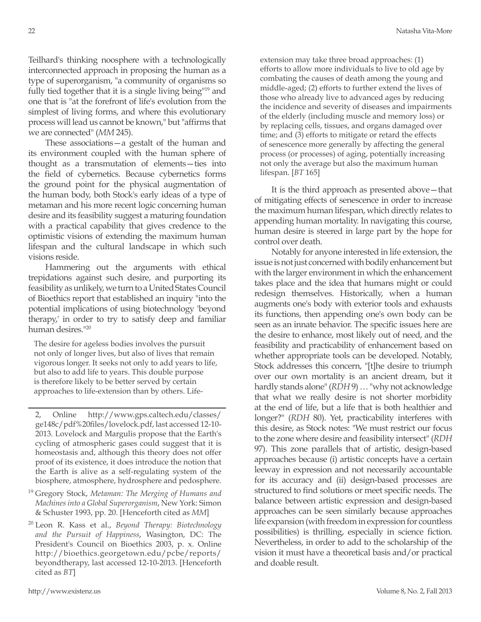Teilhard's thinking noosphere with a technologically interconnected approach in proposing the human as a type of superorganism, "a community of organisms so fully tied together that it is a single living being"19 and one that is "at the forefront of life's evolution from the simplest of living forms, and where this evolutionary process will lead us cannot be known," but "affirms that we are connected" (*MM* 245).

These associations—a gestalt of the human and its environment coupled with the human sphere of thought as a transmutation of elements—ties into the field of cybernetics. Because cybernetics forms the ground point for the physical augmentation of the human body, both Stock's early ideas of a type of metaman and his more recent logic concerning human desire and its feasibility suggest a maturing foundation with a practical capability that gives credence to the optimistic visions of extending the maximum human lifespan and the cultural landscape in which such visions reside.

Hammering out the arguments with ethical trepidations against such desire, and purporting its feasibility as unlikely, we turn to a United States Council of Bioethics report that established an inquiry "into the potential implications of using biotechnology 'beyond therapy,' in order to try to satisfy deep and familiar human desires."20

The desire for ageless bodies involves the pursuit not only of longer lives, but also of lives that remain vigorous longer. It seeks not only to add years to life, but also to add life to years. This double purpose is therefore likely to be better served by certain approaches to life-extension than by others. Life-

2, Online http://www.gps.caltech.edu/classes/ ge148c/pdf%20files/lovelock.pdf, last accessed 12-10- 2013. Lovelock and Margulis propose that the Earth's cycling of atmospheric gases could suggest that it is homeostasis and, although this theory does not offer proof of its existence, it does introduce the notion that the Earth is alive as a self-regulating system of the biosphere, atmosphere, hydrosphere and pedosphere.

<sup>19</sup> Gregory Stock, *Metaman: The Merging of Humans and Machines into a Global Superorganism*, New York: Simon & Schuster 1993, pp. 20. [Henceforth cited as *MM*]

<sup>20</sup> Leon R. Kass et al., *Beyond Therapy: Biotechnology and the Pursuit of Happiness*, Wasington, DC: The President's Council on Bioethics 2003, p. x. Online http://bioethics.georgetown.edu/pcbe/reports/ beyondtherapy, last accessed 12-10-2013. [Henceforth cited as *BT*]

extension may take three broad approaches: (1) efforts to allow more individuals to live to old age by combating the causes of death among the young and middle-aged; (2) efforts to further extend the lives of those who already live to advanced ages by reducing the incidence and severity of diseases and impairments of the elderly (including muscle and memory loss) or by replacing cells, tissues, and organs damaged over time; and (3) efforts to mitigate or retard the effects of senescence more generally by affecting the general process (or processes) of aging, potentially increasing not only the average but also the maximum human lifespan. [*BT* 165]

It is the third approach as presented above—that of mitigating effects of senescence in order to increase the maximum human lifespan, which directly relates to appending human mortality. In navigating this course, human desire is steered in large part by the hope for control over death.

Notably for anyone interested in life extension, the issue is not just concerned with bodily enhancement but with the larger environment in which the enhancement takes place and the idea that humans might or could redesign themselves. Historically, when a human augments one's body with exterior tools and exhausts its functions, then appending one's own body can be seen as an innate behavior. The specific issues here are the desire to enhance, most likely out of need, and the feasibility and practicability of enhancement based on whether appropriate tools can be developed. Notably, Stock addresses this concern, "[t]he desire to triumph over our own mortality is an ancient dream, but it hardly stands alone" (*RDH* 9) … "why not acknowledge that what we really desire is not shorter morbidity at the end of life, but a life that is both healthier and longer?" (*RDH* 80). Yet, practicability interferes with this desire, as Stock notes: "We must restrict our focus to the zone where desire and feasibility intersect" (*RDH* 97). This zone parallels that of artistic, design-based approaches because (i) artistic concepts have a certain leeway in expression and not necessarily accountable for its accuracy and (ii) design-based processes are structured to find solutions or meet specific needs. The balance between artistic expression and design-based approaches can be seen similarly because approaches life expansion (with freedom in expression for countless possibilities) is thrilling, especially in science fiction. Nevertheless, in order to add to the scholarship of the vision it must have a theoretical basis and/or practical and doable result.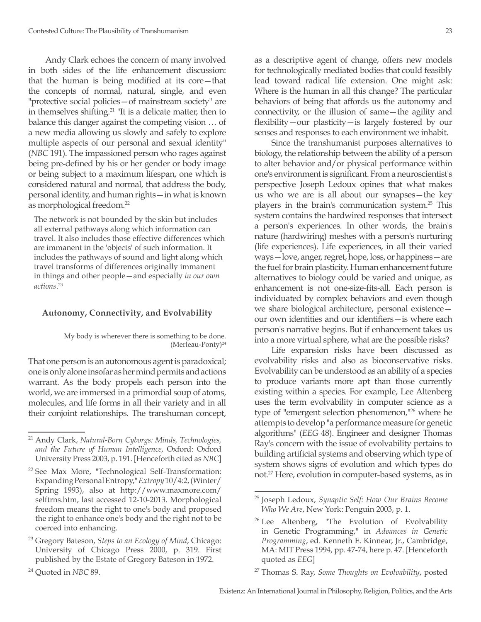Andy Clark echoes the concern of many involved in both sides of the life enhancement discussion: that the human is being modified at its core—that the concepts of normal, natural, single, and even "protective social policies—of mainstream society" are in themselves shifting.<sup>21</sup> "It is a delicate matter, then to balance this danger against the competing vision … of a new media allowing us slowly and safely to explore multiple aspects of our personal and sexual identity" (*NBC* 191). The impassioned person who rages against being pre-defined by his or her gender or body image or being subject to a maximum lifespan, one which is considered natural and normal, that address the body, personal identity, and human rights—in what is known as morphological freedom.22

The network is not bounded by the skin but includes all external pathways along which information can travel. It also includes those effective differences which are immanent in the 'objects' of such information. It includes the pathways of sound and light along which travel transforms of differences originally immanent in things and other people—and especially *in our own actions*. 23

### **Autonomy, Connectivity, and Evolvability**

#### My body is wherever there is something to be done. (Merleau-Ponty)<sup>24</sup>

That one person is an autonomous agent is paradoxical; one is only alone insofar as her mind permits and actions warrant. As the body propels each person into the world, we are immersed in a primordial soup of atoms, molecules, and life forms in all their variety and in all their conjoint relationships. The transhuman concept, as a descriptive agent of change, offers new models for technologically mediated bodies that could feasibly lead toward radical life extension. One might ask: Where is the human in all this change? The particular behaviors of being that affords us the autonomy and connectivity, or the illusion of same—the agility and flexibility—our plasticity—is largely fostered by our senses and responses to each environment we inhabit.

Since the transhumanist purposes alternatives to biology, the relationship between the ability of a person to alter behavior and/or physical performance within one's environment is significant. From a neuroscientist's perspective Joseph Ledoux opines that what makes us who we are is all about our synapses—the key players in the brain's communication system.<sup>25</sup> This system contains the hardwired responses that intersect a person's experiences. In other words, the brain's nature (hardwiring) meshes with a person's nurturing (life experiences). Life experiences, in all their varied ways—love, anger, regret, hope, loss, or happiness—are the fuel for brain plasticity. Human enhancement future alternatives to biology could be varied and unique, as enhancement is not one-size-fits-all. Each person is individuated by complex behaviors and even though we share biological architecture, personal existence our own identities and our identifiers—is where each person's narrative begins. But if enhancement takes us into a more virtual sphere, what are the possible risks?

Life expansion risks have been discussed as evolvability risks and also as bioconservative risks. Evolvability can be understood as an ability of a species to produce variants more apt than those currently existing within a species. For example, Lee Altenberg uses the term evolvability in computer science as a type of "emergent selection phenomenon,"<sup>26</sup> where he attempts to develop "a performance measure for genetic algorithms" (*EEG* 48). Engineer and designer Thomas Ray's concern with the issue of evolvability pertains to building artificial systems and observing which type of system shows signs of evolution and which types do not.<sup>27</sup> Here, evolution in computer-based systems, as in

<sup>21</sup> Andy Clark, *Natural-Born Cyborgs: Minds, Technologies, and the Future of Human Intelligence*, Oxford: Oxford University Press 2003, p. 191. [Henceforth cited as *NBC*]

<sup>22</sup> See Max More, "Technological Self-Transformation: Expanding Personal Entropy," *Extropy* 10/4:2, (Winter/ Spring 1993), also at http://www.maxmore.com/ selftrns.htm, last accessed 12-10-2013. Morphological freedom means the right to one's body and proposed the right to enhance one's body and the right not to be coerced into enhancing.

<sup>23</sup> Gregory Bateson, *Steps to an Ecology of Mind*, Chicago: University of Chicago Press 2000, p. 319. First published by the Estate of Gregory Bateson in 1972.

<sup>24</sup> Quoted in *NBC* 89.

<sup>25</sup> Joseph Ledoux, *Synaptic Self: How Our Brains Become Who We Are*, New York: Penguin 2003, p. 1.

 $26$  Lee Altenberg, "The Evolution of Evolvability in Genetic Programming," in *Advances in Genetic Programming*, ed. Kenneth E. Kinnear, Jr., Cambridge, MA: MIT Press 1994, pp. 47-74, here p. 47. [Henceforth quoted as *EEG*]

<sup>27</sup> Thomas S. Ray, *Some Thoughts on Evolvability*, posted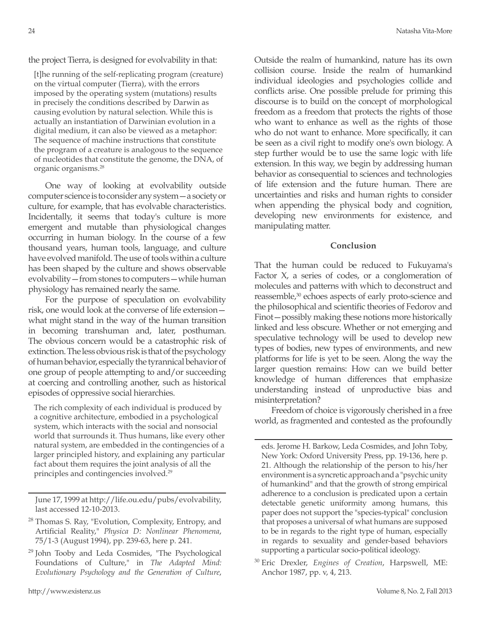the project Tierra, is designed for evolvability in that:

[t]he running of the self-replicating program (creature) on the virtual computer (Tierra), with the errors imposed by the operating system (mutations) results in precisely the conditions described by Darwin as causing evolution by natural selection. While this is actually an instantiation of Darwinian evolution in a digital medium, it can also be viewed as a metaphor: The sequence of machine instructions that constitute the program of a creature is analogous to the sequence of nucleotides that constitute the genome, the DNA, of organic organisms.28

One way of looking at evolvability outside computer science is to consider any system—a society or culture, for example, that has evolvable characteristics. Incidentally, it seems that today's culture is more emergent and mutable than physiological changes occurring in human biology. In the course of a few thousand years, human tools, language, and culture have evolved manifold. The use of tools within a culture has been shaped by the culture and shows observable evolvability—from stones to computers—while human physiology has remained nearly the same.

For the purpose of speculation on evolvability risk, one would look at the converse of life extension what might stand in the way of the human transition in becoming transhuman and, later, posthuman. The obvious concern would be a catastrophic risk of extinction. The less obvious risk is that of the psychology of human behavior, especially the tyrannical behavior of one group of people attempting to and/or succeeding at coercing and controlling another, such as historical episodes of oppressive social hierarchies.

The rich complexity of each individual is produced by a cognitive architecture, embodied in a psychological system, which interacts with the social and nonsocial world that surrounds it. Thus humans, like every other natural system, are embedded in the contingencies of a larger principled history, and explaining any particular fact about them requires the joint analysis of all the principles and contingencies involved.29

June 17, 1999 at http://life.ou.edu/pubs/evolvability, last accessed 12-10-2013.

- <sup>28</sup> Thomas S. Ray, "Evolution, Complexity, Entropy, and Artificial Reality," *Physica D: Nonlinear Phenomena*, 75/1-3 (August 1994), pp. 239-63, here p. 241.
- <sup>29</sup> John Tooby and Leda Cosmides, "The Psychological Foundations of Culture," in *The Adapted Mind: Evolutionary Psychology and the Generation of Culture*,

Outside the realm of humankind, nature has its own collision course. Inside the realm of humankind individual ideologies and psychologies collide and conflicts arise. One possible prelude for priming this discourse is to build on the concept of morphological freedom as a freedom that protects the rights of those who want to enhance as well as the rights of those who do not want to enhance. More specifically, it can be seen as a civil right to modify one's own biology. A step further would be to use the same logic with life extension. In this way, we begin by addressing human behavior as consequential to sciences and technologies of life extension and the future human. There are uncertainties and risks and human rights to consider when appending the physical body and cognition, developing new environments for existence, and manipulating matter.

**Conclusion**

That the human could be reduced to Fukuyama's Factor X, a series of codes, or a conglomeration of molecules and patterns with which to deconstruct and reassemble,<sup>30</sup> echoes aspects of early proto-science and the philosophical and scientific theories of Fedorov and Finot—possibly making these notions more historically linked and less obscure. Whether or not emerging and speculative technology will be used to develop new types of bodies, new types of environments, and new platforms for life is yet to be seen. Along the way the larger question remains: How can we build better knowledge of human differences that emphasize understanding instead of unproductive bias and misinterpretation?

Freedom of choice is vigorously cherished in a free world, as fragmented and contested as the profoundly

eds. Jerome H. Barkow, Leda Cosmides, and John Toby, New York: Oxford University Press, pp. 19-136, here p. 21. Although the relationship of the person to his/her environment is a syncretic approach and a "psychic unity of humankind" and that the growth of strong empirical adherence to a conclusion is predicated upon a certain detectable genetic uniformity among humans, this paper does not support the "species-typical" conclusion that proposes a universal of what humans are supposed to be in regards to the right type of human, especially in regards to sexuality and gender-based behaviors supporting a particular socio-political ideology.

<sup>30</sup> Eric Drexler, *Engines of Creation*, Harpswell, ME: Anchor 1987, pp. v, 4, 213.